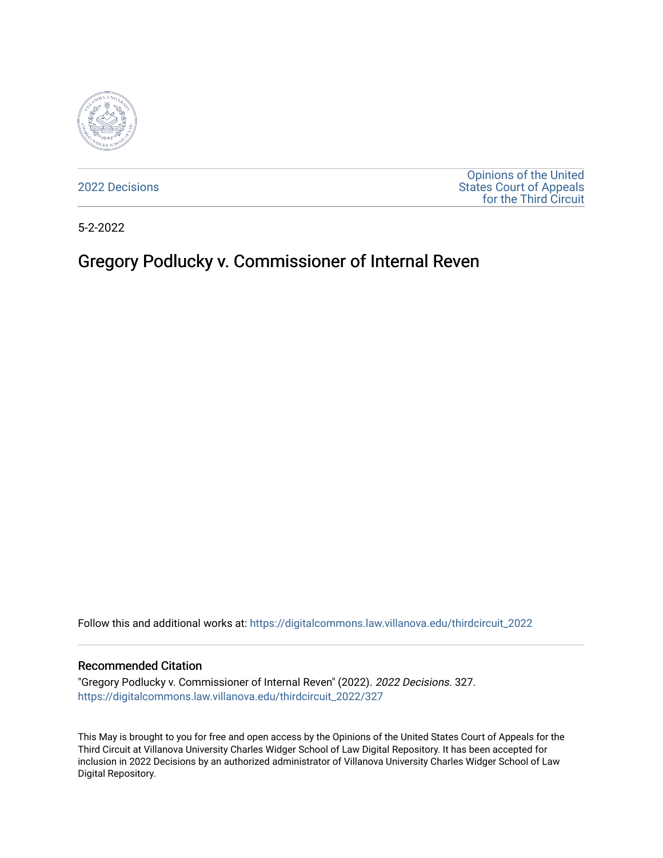

[2022 Decisions](https://digitalcommons.law.villanova.edu/thirdcircuit_2022)

[Opinions of the United](https://digitalcommons.law.villanova.edu/thirdcircuit)  [States Court of Appeals](https://digitalcommons.law.villanova.edu/thirdcircuit)  [for the Third Circuit](https://digitalcommons.law.villanova.edu/thirdcircuit) 

5-2-2022

# Gregory Podlucky v. Commissioner of Internal Reven

Follow this and additional works at: [https://digitalcommons.law.villanova.edu/thirdcircuit\\_2022](https://digitalcommons.law.villanova.edu/thirdcircuit_2022?utm_source=digitalcommons.law.villanova.edu%2Fthirdcircuit_2022%2F327&utm_medium=PDF&utm_campaign=PDFCoverPages) 

#### Recommended Citation

"Gregory Podlucky v. Commissioner of Internal Reven" (2022). 2022 Decisions. 327. [https://digitalcommons.law.villanova.edu/thirdcircuit\\_2022/327](https://digitalcommons.law.villanova.edu/thirdcircuit_2022/327?utm_source=digitalcommons.law.villanova.edu%2Fthirdcircuit_2022%2F327&utm_medium=PDF&utm_campaign=PDFCoverPages)

This May is brought to you for free and open access by the Opinions of the United States Court of Appeals for the Third Circuit at Villanova University Charles Widger School of Law Digital Repository. It has been accepted for inclusion in 2022 Decisions by an authorized administrator of Villanova University Charles Widger School of Law Digital Repository.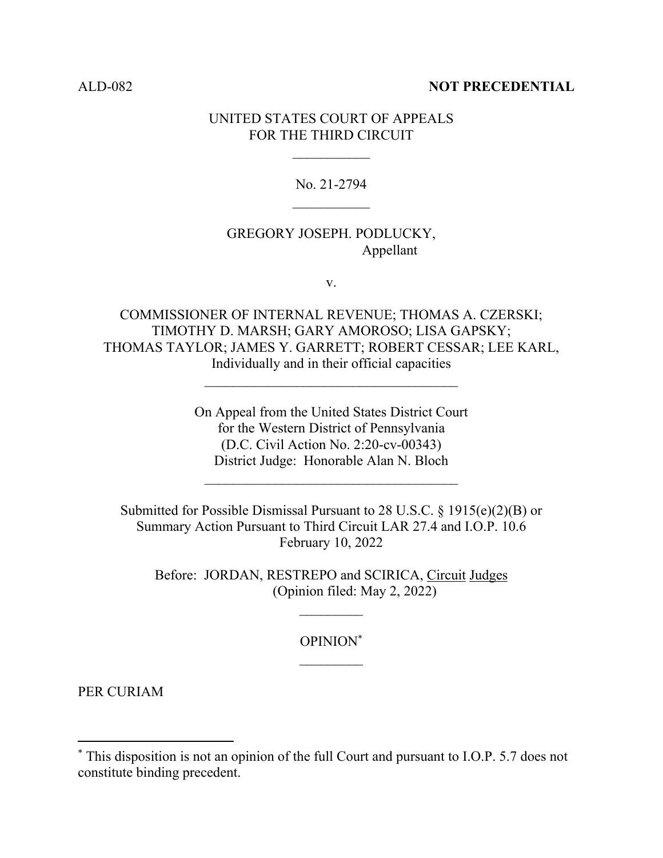#### ALD-082 **NOT PRECEDENTIAL**

### UNITED STATES COURT OF APPEALS FOR THE THIRD CIRCUIT

No. 21-2794

## GREGORY JOSEPH. PODLUCKY, Appellant

v.

COMMISSIONER OF INTERNAL REVENUE; THOMAS A. CZERSKI; TIMOTHY D. MARSH; GARY AMOROSO; LISA GAPSKY; THOMAS TAYLOR; JAMES Y. GARRETT; ROBERT CESSAR; LEE KARL, Individually and in their official capacities

> On Appeal from the United States District Court for the Western District of Pennsylvania (D.C. Civil Action No. 2:20-cv-00343) District Judge: Honorable Alan N. Bloch

 $\mathcal{L}_\text{max}$ 

Submitted for Possible Dismissal Pursuant to 28 U.S.C. § 1915(e)(2)(B) or Summary Action Pursuant to Third Circuit LAR 27.4 and I.O.P. 10.6 February 10, 2022

Before: JORDAN, RESTREPO and SCIRICA, Circuit Judges (Opinion filed: May 2, 2022)

OPINION\*

PER CURIAM

<sup>\*</sup> This disposition is not an opinion of the full Court and pursuant to I.O.P. 5.7 does not constitute binding precedent.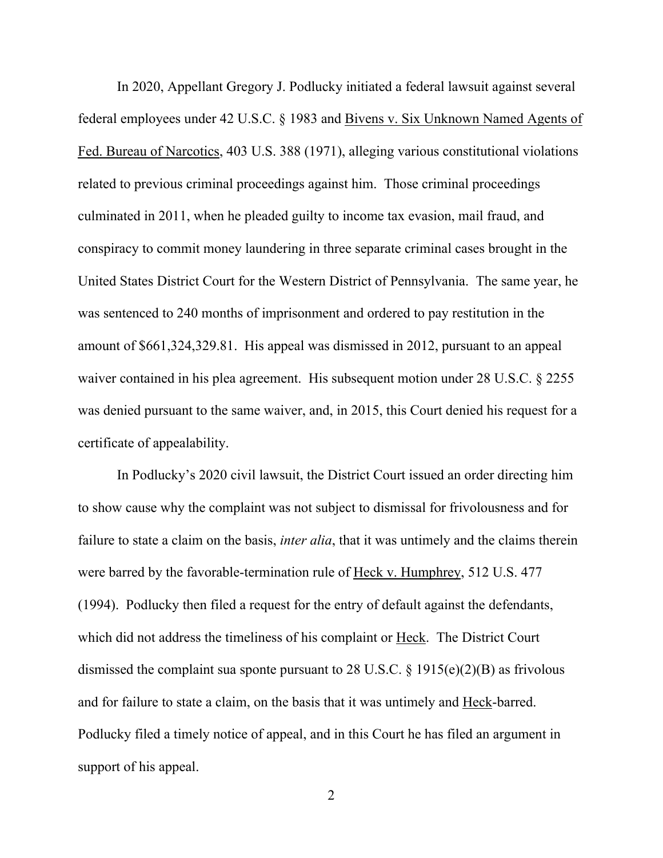In 2020, Appellant Gregory J. Podlucky initiated a federal lawsuit against several federal employees under 42 U.S.C. § 1983 and Bivens v. Six Unknown Named Agents of Fed. Bureau of Narcotics, 403 U.S. 388 (1971), alleging various constitutional violations related to previous criminal proceedings against him. Those criminal proceedings culminated in 2011, when he pleaded guilty to income tax evasion, mail fraud, and conspiracy to commit money laundering in three separate criminal cases brought in the United States District Court for the Western District of Pennsylvania. The same year, he was sentenced to 240 months of imprisonment and ordered to pay restitution in the amount of \$661,324,329.81. His appeal was dismissed in 2012, pursuant to an appeal waiver contained in his plea agreement. His subsequent motion under 28 U.S.C. § 2255 was denied pursuant to the same waiver, and, in 2015, this Court denied his request for a certificate of appealability.

In Podlucky's 2020 civil lawsuit, the District Court issued an order directing him to show cause why the complaint was not subject to dismissal for frivolousness and for failure to state a claim on the basis, *inter alia*, that it was untimely and the claims therein were barred by the favorable-termination rule of Heck v. Humphrey, 512 U.S. 477 (1994). Podlucky then filed a request for the entry of default against the defendants, which did not address the timeliness of his complaint or Heck. The District Court dismissed the complaint sua sponte pursuant to 28 U.S.C.  $\S$  1915(e)(2)(B) as frivolous and for failure to state a claim, on the basis that it was untimely and Heck-barred. Podlucky filed a timely notice of appeal, and in this Court he has filed an argument in support of his appeal.

2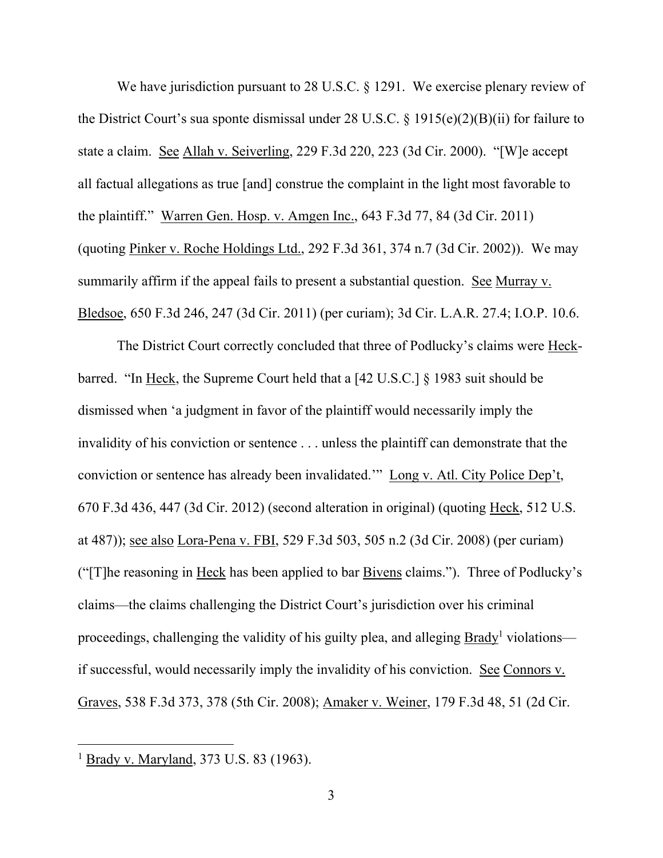We have jurisdiction pursuant to 28 U.S.C. § 1291. We exercise plenary review of the District Court's sua sponte dismissal under 28 U.S.C. § 1915(e)(2)(B)(ii) for failure to state a claim. See Allah v. Seiverling, 229 F.3d 220, 223 (3d Cir. 2000). "[W]e accept all factual allegations as true [and] construe the complaint in the light most favorable to the plaintiff." Warren Gen. Hosp. v. Amgen Inc., 643 F.3d 77, 84 (3d Cir. 2011) (quoting Pinker v. Roche Holdings Ltd., 292 F.3d 361, 374 n.7 (3d Cir. 2002)). We may summarily affirm if the appeal fails to present a substantial question. See Murray v. Bledsoe, 650 F.3d 246, 247 (3d Cir. 2011) (per curiam); 3d Cir. L.A.R. 27.4; I.O.P. 10.6.

The District Court correctly concluded that three of Podlucky's claims were Heckbarred. "In Heck, the Supreme Court held that a [42 U.S.C.] § 1983 suit should be dismissed when 'a judgment in favor of the plaintiff would necessarily imply the invalidity of his conviction or sentence . . . unless the plaintiff can demonstrate that the conviction or sentence has already been invalidated.'" Long v. Atl. City Police Dep't, 670 F.3d 436, 447 (3d Cir. 2012) (second alteration in original) (quoting Heck, 512 U.S. at 487)); see also Lora-Pena v. FBI, 529 F.3d 503, 505 n.2 (3d Cir. 2008) (per curiam) ("[T]he reasoning in Heck has been applied to bar Bivens claims."). Three of Podlucky's claims—the claims challenging the District Court's jurisdiction over his criminal proceedings, challenging the validity of his guilty plea, and alleging **Brady**<sup>1</sup> violations if successful, would necessarily imply the invalidity of his conviction. See Connors v. Graves, 538 F.3d 373, 378 (5th Cir. 2008); Amaker v. Weiner, 179 F.3d 48, 51 (2d Cir.

<sup>&</sup>lt;sup>1</sup> Brady v. Maryland, 373 U.S. 83 (1963).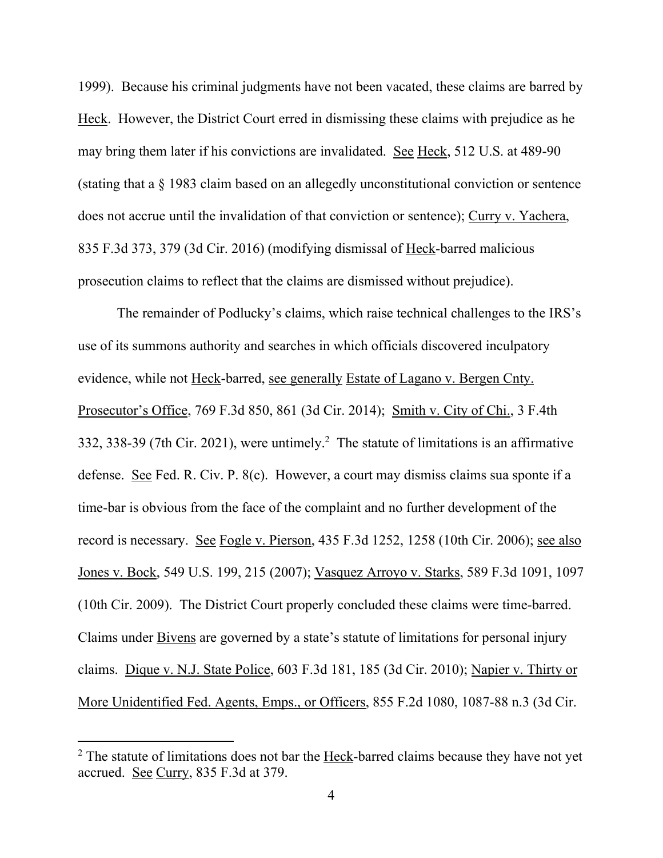1999). Because his criminal judgments have not been vacated, these claims are barred by Heck. However, the District Court erred in dismissing these claims with prejudice as he may bring them later if his convictions are invalidated. See Heck, 512 U.S. at 489-90 (stating that a § 1983 claim based on an allegedly unconstitutional conviction or sentence does not accrue until the invalidation of that conviction or sentence); Curry v. Yachera, 835 F.3d 373, 379 (3d Cir. 2016) (modifying dismissal of Heck-barred malicious prosecution claims to reflect that the claims are dismissed without prejudice).

The remainder of Podlucky's claims, which raise technical challenges to the IRS's use of its summons authority and searches in which officials discovered inculpatory evidence, while not Heck-barred, see generally Estate of Lagano v. Bergen Cnty. Prosecutor's Office, 769 F.3d 850, 861 (3d Cir. 2014); Smith v. City of Chi., 3 F.4th 332, 338-39 (7th Cir. 2021), were untimely.<sup>2</sup> The statute of limitations is an affirmative defense. See Fed. R. Civ. P. 8(c). However, a court may dismiss claims sua sponte if a time-bar is obvious from the face of the complaint and no further development of the record is necessary. See Fogle v. Pierson, 435 F.3d 1252, 1258 (10th Cir. 2006); see also Jones v. Bock, 549 U.S. 199, 215 (2007); Vasquez Arroyo v. Starks, 589 F.3d 1091, 1097 (10th Cir. 2009). The District Court properly concluded these claims were time-barred. Claims under Bivens are governed by a state's statute of limitations for personal injury claims. Dique v. N.J. State Police, 603 F.3d 181, 185 (3d Cir. 2010); Napier v. Thirty or More Unidentified Fed. Agents, Emps., or Officers, 855 F.2d 1080, 1087-88 n.3 (3d Cir.

 $2$  The statute of limitations does not bar the  $Heck-barred claims because they have not yet$ </u> accrued. See Curry, 835 F.3d at 379.